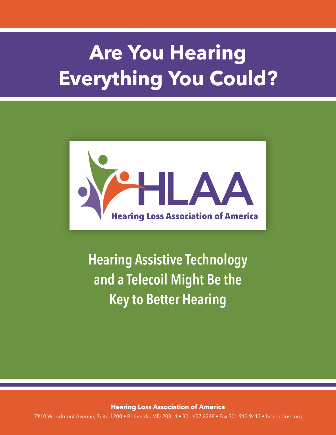# **Are You Hearing Everything You Could?**



**Hearing Assistive Technology and a Telecoil Might Be the Key to Better Hearing** 

**Hearing Loss Association of America** 

7910 Woodmont Avenue, Suite 1200 • Bethesda, MD 20814 • 301.657.2248 • Fax 301.913.9413 • hearingloss.org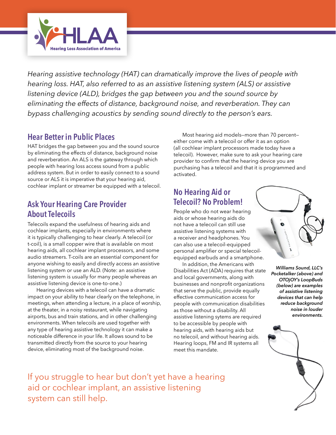

*Hearing assistive technology (HAT) can dramatically improve the lives of people with hearing loss. HAT, also referred to as an assistive listening system (ALS) or assistive listening device (ALD), bridges the gap between you and the sound source by eliminating the effects of distance, background noise, and reverberation. They can bypass challenging acoustics by sending sound directly to the person's ears.* 

### **Hear Better in Public Places**

HAT bridges the gap between you and the sound source by eliminating the effects of distance, background noise and reverberation. An ALS is the gateway through which people with hearing loss access sound from a public address system. But in order to easily connect to a sound source or ALS it is imperative that your hearing aid, cochlear implant or streamer be equipped with a telecoil.

# **Ask Your Hearing Care Provider About Telecoils**

Telecoils expand the usefulness of hearing aids and cochlear implants, especially in environments where it is typically challenging to hear clearly. A telecoil (or t-coil), is a small copper wire that is available on most hearing aids, all cochlear implant processors, and some audio streamers. T-coils are an essential component for anyone wishing to easily and directly access an assistive listening system or use an ALD. (Note: an assistive listening system is usually for many people whereas an assistive listening device is one-to-one.)

Hearing devices with a telecoil can have a dramatic impact on your ability to hear clearly on the telephone, in meetings, when attending a lecture, in a place of worship, at the theater, in a noisy restaurant, while navigating airports, bus and train stations, and in other challenging environments. When telecoils are used together with any type of hearing assistive technology it can make a noticeable difference in your life. It allows sound to be transmitted directly from the source to your hearing device, eliminating most of the background noise.

Most hearing aid models—more than 70 percent either come with a telecoil or offer it as an option (all cochlear implant processors made today have a telecoil). However, make sure to ask your hearing care provider to confirm that the hearing device you are purchasing has a telecoil and that it is programmed and activated.

# **No Hearing Aid or Telecoil? No Problem!**

People who do not wear hearing aids or whose hearing aids do not have a telecoil can still use assistive listening systems with a receiver and headphones. You can also use a telecoil-equipped personal amplifier or special telecoilequipped earbuds and a smartphone.

In addition, the Americans with Disabilities Act (ADA) requires that state and local governments, along with businesses and nonprofit organizations that serve the public, provide equally effective communication access for people with communication disabilities as those without a disability. All assistive listening sytems are required to be accessible by people with hearing aids, with hearing aids but no telecoil, and without hearing aids. Hearing loops, FM and IR systems all meet this mandate.



*Williams Sound, LLC's Pocketalker (above) and OTOjOY's LoopBuds (below) are examples of assistive listening devices that can help reduce background noise in louder environments.*



If you struggle to hear but don't yet have a hearing aid or cochlear implant, an assistive listening system can still help.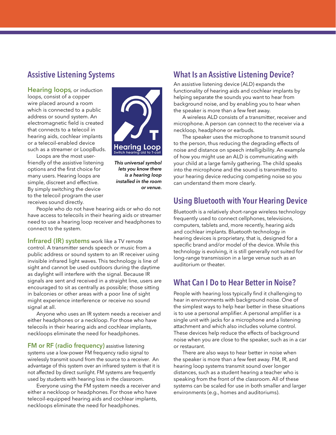### **Assistive Listening Systems**

**Hearing loops***,* or induction loops, consist of a copper wire placed around a room which is connected to a public address or sound system. An electromagnetic field is created that connects to a telecoil in hearing aids, cochlear implants or a telecoil-enabled device such as a streamer or LoopBuds.



Loops are the most userfriendly of the assistive listening options and the first choice for many users. Hearing loops are simple, discreet and effective. By simply switching the device to the telecoil program the user receives sound directly.

*This universal symbol lets you know there is a hearing loop installed in the room or venue.*

People who do not have hearing aids or who do not have access to telecoils in their hearing aids or streamer need to use a hearing loop receiver and headphones to connect to the system.

**Infrared (IR) systems** work like a TV remote control. A transmitter sends speech or music from a public address or sound system to an IR receiver using invisible infrared light waves. This technology is line of sight and cannot be used outdoors during the daytime as daylight will interfere with the signal. Because IR signals are sent and received in a straight line, users are encouraged to sit as centrally as possible; those sitting in balconies or other areas with a poor line of sight might experience interference or receive no sound signal at all.

Anyone who uses an IR system needs a receiver and either headphones or a neckloop. For those who have telecoils in their hearing aids and cochlear implants, neckloops eliminate the need for headphones.

**FM or RF (radio frequency)** assistive listening systems use a low-power FM frequency radio signal to wirelessly transmit sound from the source to a receiver. An advantage of this system over an infrared system is that it is not affected by direct sunlight. FM systems are frequently used by students with hearing loss in the classroom.

Everyone using the FM system needs a receiver and either a neckloop or headphones. For those who have telecoil-equipped hearing aids and cochlear implants, neckloops eliminate the need for headphones.

#### **What Is an Assistive Listening Device?**

An assistive listening device (ALD) expands the functionality of hearing aids and cochlear implants by helping separate the sounds you want to hear from background noise, and by enabling you to hear when the speaker is more than a few feet away.

A wireless ALD consists of a transmitter, receiver and microphone. A person can connect to the receiver via a neckloop, headphone or earbuds.

The speaker uses the microphone to transmit sound to the person, thus reducing the degrading effects of noise and distance on speech intelligibility. An example of how you might use an ALD is communicating with your child at a large family gathering. The child speaks into the microphone and the sound is transmitted to your hearing device reducing competing noise so you can understand them more clearly.

#### **Using Bluetooth with Your Hearing Device**

Bluetooth is a relatively short-range wireless technology frequently used to connect cellphones, televisions, computers, tablets and, more recently, hearing aids and cochlear implants. Bluetooth technology in hearing devices is proprietary, that is, designed for a specific brand and/or model of the device. While this technology is evolving, it is still generally not suited for long-range transmission in a large venue such as an auditorium or theater.

#### **What Can I Do to Hear Better in Noise?**

People with hearing loss typically find it challenging to hear in environments with background noise. One of the simplest ways to help hear better in these situations is to use a personal amplifier. A personal amplifier is a single unit with jacks for a microphone and a listening attachment and which also includes volume control. These devices help reduce the effects of background noise when you are close to the speaker, such as in a car or restaurant.

There are also ways to hear better in noise when the speaker is more than a few feet away. FM, IR, and hearing loop systems transmit sound over longer distances, such as a student hearing a teacher who is speaking from the front of the classroom. All of these systems can be scaled for use in both smaller and larger environments (e.g., homes and auditoriums).